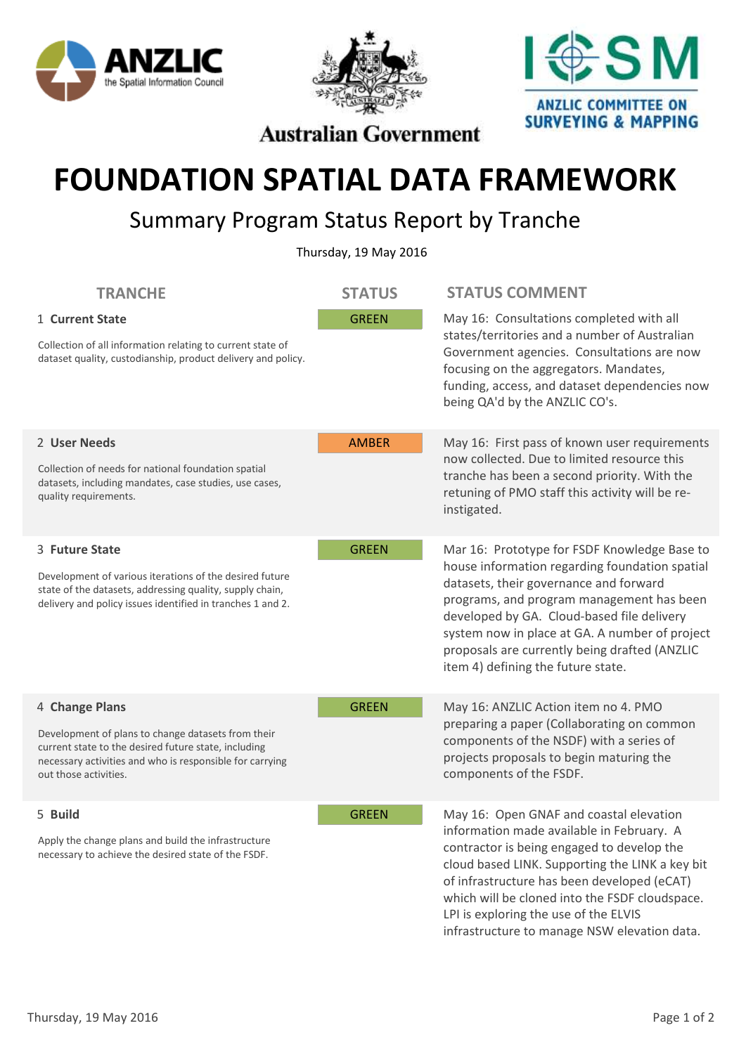





**Australian Government** 

## **FOUNDATION SPATIAL DATA FRAMEWORK**

## Summary Program Status Report by Tranche

Thursday, 19 May 2016

| <b>TRANCHE</b>                                                                                                                                                                                                    | <b>STATUS</b> | <b>STATUS COMMENT</b>                                                                                                                                                                                                                                                                                                                                                           |
|-------------------------------------------------------------------------------------------------------------------------------------------------------------------------------------------------------------------|---------------|---------------------------------------------------------------------------------------------------------------------------------------------------------------------------------------------------------------------------------------------------------------------------------------------------------------------------------------------------------------------------------|
| 1 Current State<br>Collection of all information relating to current state of<br>dataset quality, custodianship, product delivery and policy.                                                                     | <b>GREEN</b>  | May 16: Consultations completed with all<br>states/territories and a number of Australian<br>Government agencies. Consultations are now<br>focusing on the aggregators. Mandates,<br>funding, access, and dataset dependencies now<br>being QA'd by the ANZLIC CO's.                                                                                                            |
| 2 User Needs<br>Collection of needs for national foundation spatial<br>datasets, including mandates, case studies, use cases,<br>quality requirements.                                                            | <b>AMBER</b>  | May 16: First pass of known user requirements<br>now collected. Due to limited resource this<br>tranche has been a second priority. With the<br>retuning of PMO staff this activity will be re-<br>instigated.                                                                                                                                                                  |
| 3 Future State<br>Development of various iterations of the desired future<br>state of the datasets, addressing quality, supply chain,<br>delivery and policy issues identified in tranches 1 and 2.               | <b>GREEN</b>  | Mar 16: Prototype for FSDF Knowledge Base to<br>house information regarding foundation spatial<br>datasets, their governance and forward<br>programs, and program management has been<br>developed by GA. Cloud-based file delivery<br>system now in place at GA. A number of project<br>proposals are currently being drafted (ANZLIC<br>item 4) defining the future state.    |
| 4 Change Plans<br>Development of plans to change datasets from their<br>current state to the desired future state, including<br>necessary activities and who is responsible for carrying<br>out those activities. | <b>GREEN</b>  | May 16: ANZLIC Action item no 4. PMO<br>preparing a paper (Collaborating on common<br>components of the NSDF) with a series of<br>projects proposals to begin maturing the<br>components of the FSDF.                                                                                                                                                                           |
| 5 Build<br>Apply the change plans and build the infrastructure<br>necessary to achieve the desired state of the FSDF.                                                                                             | <b>GREEN</b>  | May 16: Open GNAF and coastal elevation<br>information made available in February. A<br>contractor is being engaged to develop the<br>cloud based LINK. Supporting the LINK a key bit<br>of infrastructure has been developed (eCAT)<br>which will be cloned into the FSDF cloudspace.<br>LPI is exploring the use of the ELVIS<br>infrastructure to manage NSW elevation data. |